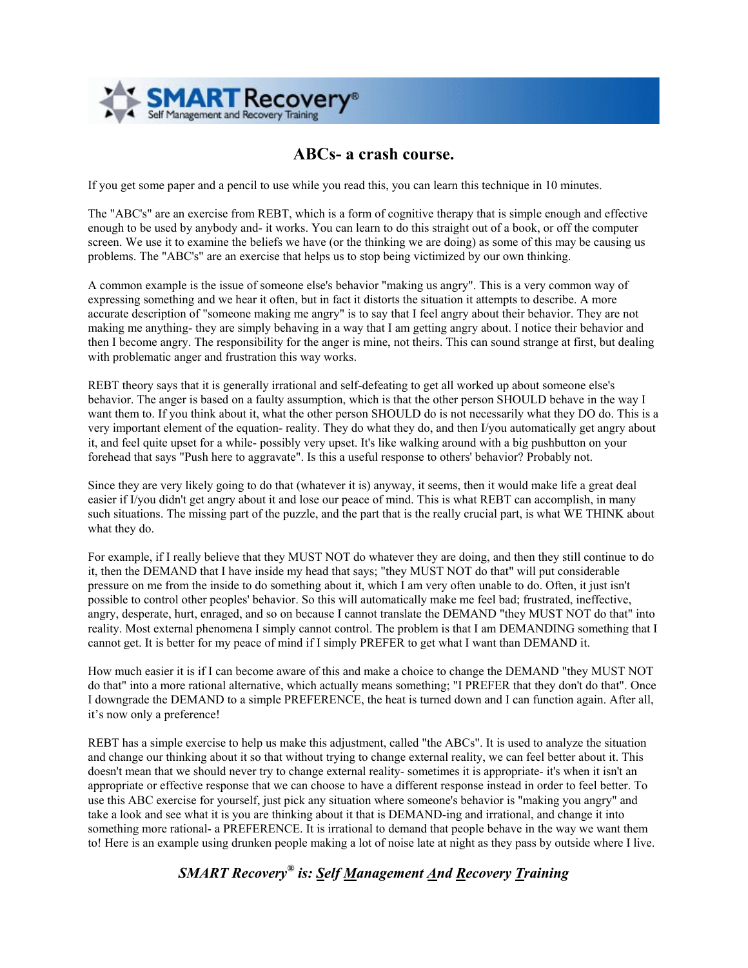

## **ABCs- a crash course.**

If you get some paper and a pencil to use while you read this, you can learn this technique in 10 minutes.

The "ABC's" are an exercise from REBT, which is a form of cognitive therapy that is simple enough and effective enough to be used by anybody and- it works. You can learn to do this straight out of a book, or off the computer screen. We use it to examine the beliefs we have (or the thinking we are doing) as some of this may be causing us problems. The "ABC's" are an exercise that helps us to stop being victimized by our own thinking.

A common example is the issue of someone else's behavior "making us angry". This is a very common way of expressing something and we hear it often, but in fact it distorts the situation it attempts to describe. A more accurate description of "someone making me angry" is to say that I feel angry about their behavior. They are not making me anything- they are simply behaving in a way that I am getting angry about. I notice their behavior and then I become angry. The responsibility for the anger is mine, not theirs. This can sound strange at first, but dealing with problematic anger and frustration this way works.

REBT theory says that it is generally irrational and self-defeating to get all worked up about someone else's behavior. The anger is based on a faulty assumption, which is that the other person SHOULD behave in the way I want them to. If you think about it, what the other person SHOULD do is not necessarily what they DO do. This is a very important element of the equation- reality. They do what they do, and then I/you automatically get angry about it, and feel quite upset for a while- possibly very upset. It's like walking around with a big pushbutton on your forehead that says "Push here to aggravate". Is this a useful response to others' behavior? Probably not.

Since they are very likely going to do that (whatever it is) anyway, it seems, then it would make life a great deal easier if I/you didn't get angry about it and lose our peace of mind. This is what REBT can accomplish, in many such situations. The missing part of the puzzle, and the part that is the really crucial part, is what WE THINK about what they do.

For example, if I really believe that they MUST NOT do whatever they are doing, and then they still continue to do it, then the DEMAND that I have inside my head that says; "they MUST NOT do that" will put considerable pressure on me from the inside to do something about it, which I am very often unable to do. Often, it just isn't possible to control other peoples' behavior. So this will automatically make me feel bad; frustrated, ineffective, angry, desperate, hurt, enraged, and so on because I cannot translate the DEMAND "they MUST NOT do that" into reality. Most external phenomena I simply cannot control. The problem is that I am DEMANDING something that I cannot get. It is better for my peace of mind if I simply PREFER to get what I want than DEMAND it.

How much easier it is if I can become aware of this and make a choice to change the DEMAND "they MUST NOT do that" into a more rational alternative, which actually means something; "I PREFER that they don't do that". Once I downgrade the DEMAND to a simple PREFERENCE, the heat is turned down and I can function again. After all, it's now only a preference!

REBT has a simple exercise to help us make this adjustment, called "the ABCs". It is used to analyze the situation and change our thinking about it so that without trying to change external reality, we can feel better about it. This doesn't mean that we should never try to change external reality- sometimes it is appropriate- it's when it isn't an appropriate or effective response that we can choose to have a different response instead in order to feel better. To use this ABC exercise for yourself, just pick any situation where someone's behavior is "making you angry" and take a look and see what it is you are thinking about it that is DEMAND-ing and irrational, and change it into something more rational- a PREFERENCE. It is irrational to demand that people behave in the way we want them to! Here is an example using drunken people making a lot of noise late at night as they pass by outside where I live.

## *SMART Recovery® is: Self Management And Recovery Training*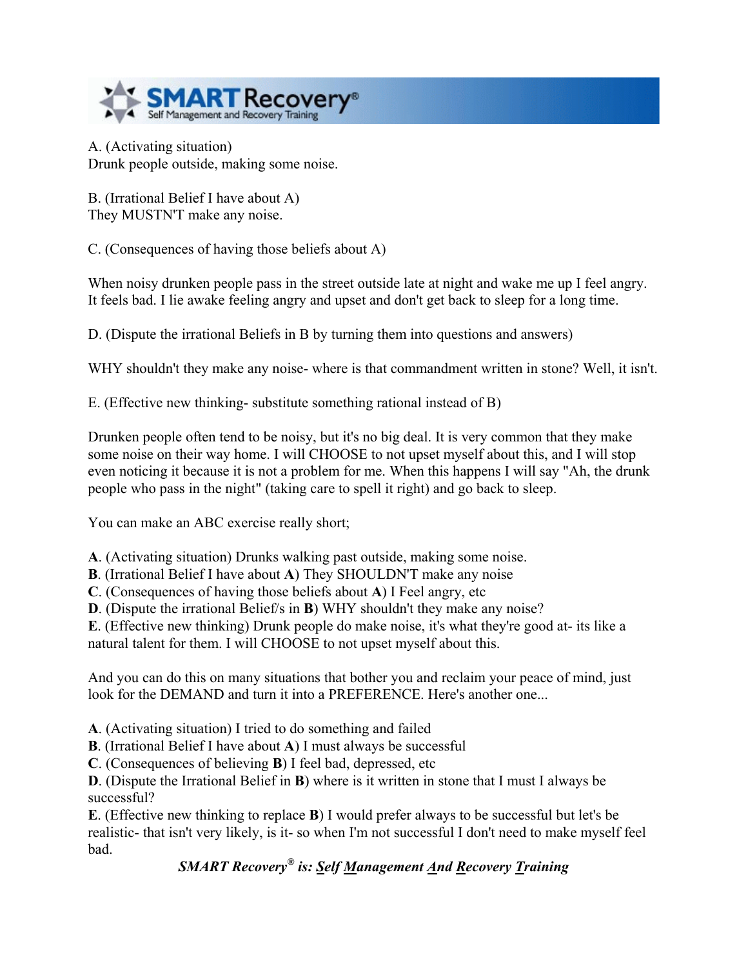

A. (Activating situation) Drunk people outside, making some noise.

B. (Irrational Belief I have about A) They MUSTN'T make any noise.

C. (Consequences of having those beliefs about A)

When noisy drunken people pass in the street outside late at night and wake me up I feel angry. It feels bad. I lie awake feeling angry and upset and don't get back to sleep for a long time.

D. (Dispute the irrational Beliefs in B by turning them into questions and answers)

WHY shouldn't they make any noise- where is that commandment written in stone? Well, it isn't.

E. (Effective new thinking- substitute something rational instead of B)

Drunken people often tend to be noisy, but it's no big deal. It is very common that they make some noise on their way home. I will CHOOSE to not upset myself about this, and I will stop even noticing it because it is not a problem for me. When this happens I will say "Ah, the drunk people who pass in the night" (taking care to spell it right) and go back to sleep.

You can make an ABC exercise really short;

**A**. (Activating situation) Drunks walking past outside, making some noise.

**B**. (Irrational Belief I have about **A**) They SHOULDN'T make any noise

**C**. (Consequences of having those beliefs about **A**) I Feel angry, etc

**D**. (Dispute the irrational Belief/s in **B**) WHY shouldn't they make any noise?

**E**. (Effective new thinking) Drunk people do make noise, it's what they're good at- its like a natural talent for them. I will CHOOSE to not upset myself about this.

And you can do this on many situations that bother you and reclaim your peace of mind, just look for the DEMAND and turn it into a PREFERENCE. Here's another one.

**A**. (Activating situation) I tried to do something and failed

**B**. (Irrational Belief I have about **A**) I must always be successful

**C**. (Consequences of believing **B**) I feel bad, depressed, etc

**D**. (Dispute the Irrational Belief in **B**) where is it written in stone that I must I always be successful?

**E**. (Effective new thinking to replace **B**) I would prefer always to be successful but let's be realistic- that isn't very likely, is it- so when I'm not successful I don't need to make myself feel bad.

## *SMART Recovery® is: Self Management And Recovery Training*